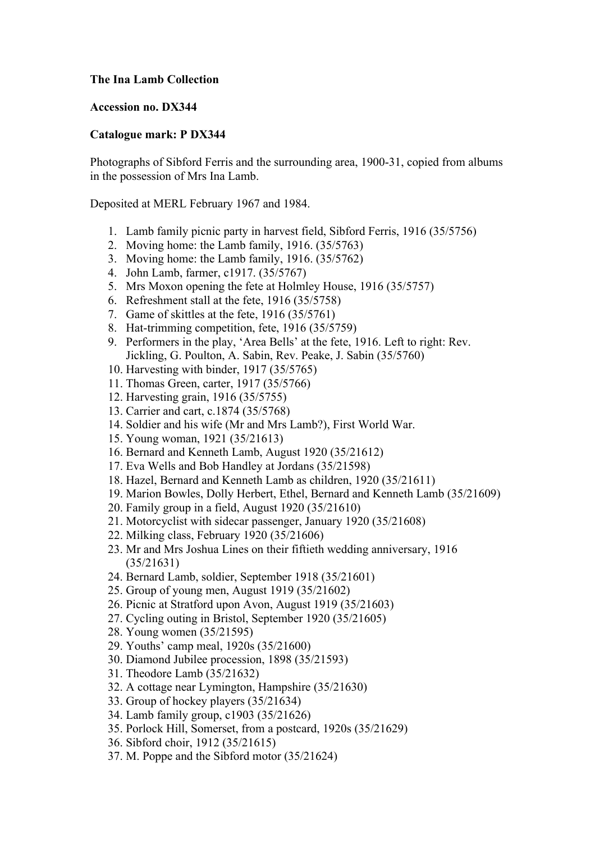## **The Ina Lamb Collection**

## **Accession no. DX344**

## **Catalogue mark: P DX344**

Photographs of Sibford Ferris and the surrounding area, 1900-31, copied from albums in the possession of Mrs Ina Lamb.

Deposited at MERL February 1967 and 1984.

- 1. Lamb family picnic party in harvest field, Sibford Ferris, 1916 (35/5756)
- 2. Moving home: the Lamb family, 1916. (35/5763)
- 3. Moving home: the Lamb family, 1916. (35/5762)
- 4. John Lamb, farmer, c1917. (35/5767)
- 5. Mrs Moxon opening the fete at Holmley House, 1916 (35/5757)
- 6. Refreshment stall at the fete, 1916 (35/5758)
- 7. Game of skittles at the fete, 1916 (35/5761)
- 8. Hat-trimming competition, fete, 1916 (35/5759)
- 9. Performers in the play, 'Area Bells' at the fete, 1916. Left to right: Rev. Jickling, G. Poulton, A. Sabin, Rev. Peake, J. Sabin (35/5760)
- 10. Harvesting with binder, 1917 (35/5765)
- 11. Thomas Green, carter, 1917 (35/5766)
- 12. Harvesting grain, 1916 (35/5755)
- 13. Carrier and cart, c.1874 (35/5768)
- 14. Soldier and his wife (Mr and Mrs Lamb?), First World War.
- 15. Young woman, 1921 (35/21613)
- 16. Bernard and Kenneth Lamb, August 1920 (35/21612)
- 17. Eva Wells and Bob Handley at Jordans (35/21598)
- 18. Hazel, Bernard and Kenneth Lamb as children, 1920 (35/21611)
- 19. Marion Bowles, Dolly Herbert, Ethel, Bernard and Kenneth Lamb (35/21609)
- 20. Family group in a field, August 1920 (35/21610)
- 21. Motorcyclist with sidecar passenger, January 1920 (35/21608)
- 22. Milking class, February 1920 (35/21606)
- 23. Mr and Mrs Joshua Lines on their fiftieth wedding anniversary, 1916 (35/21631)
- 24. Bernard Lamb, soldier, September 1918 (35/21601)
- 25. Group of young men, August 1919 (35/21602)
- 26. Picnic at Stratford upon Avon, August 1919 (35/21603)
- 27. Cycling outing in Bristol, September 1920 (35/21605)
- 28. Young women (35/21595)
- 29. Youths' camp meal, 1920s (35/21600)
- 30. Diamond Jubilee procession, 1898 (35/21593)
- 31. Theodore Lamb (35/21632)
- 32. A cottage near Lymington, Hampshire (35/21630)
- 33. Group of hockey players (35/21634)
- 34. Lamb family group, c1903 (35/21626)
- 35. Porlock Hill, Somerset, from a postcard, 1920s (35/21629)
- 36. Sibford choir, 1912 (35/21615)
- 37. M. Poppe and the Sibford motor (35/21624)